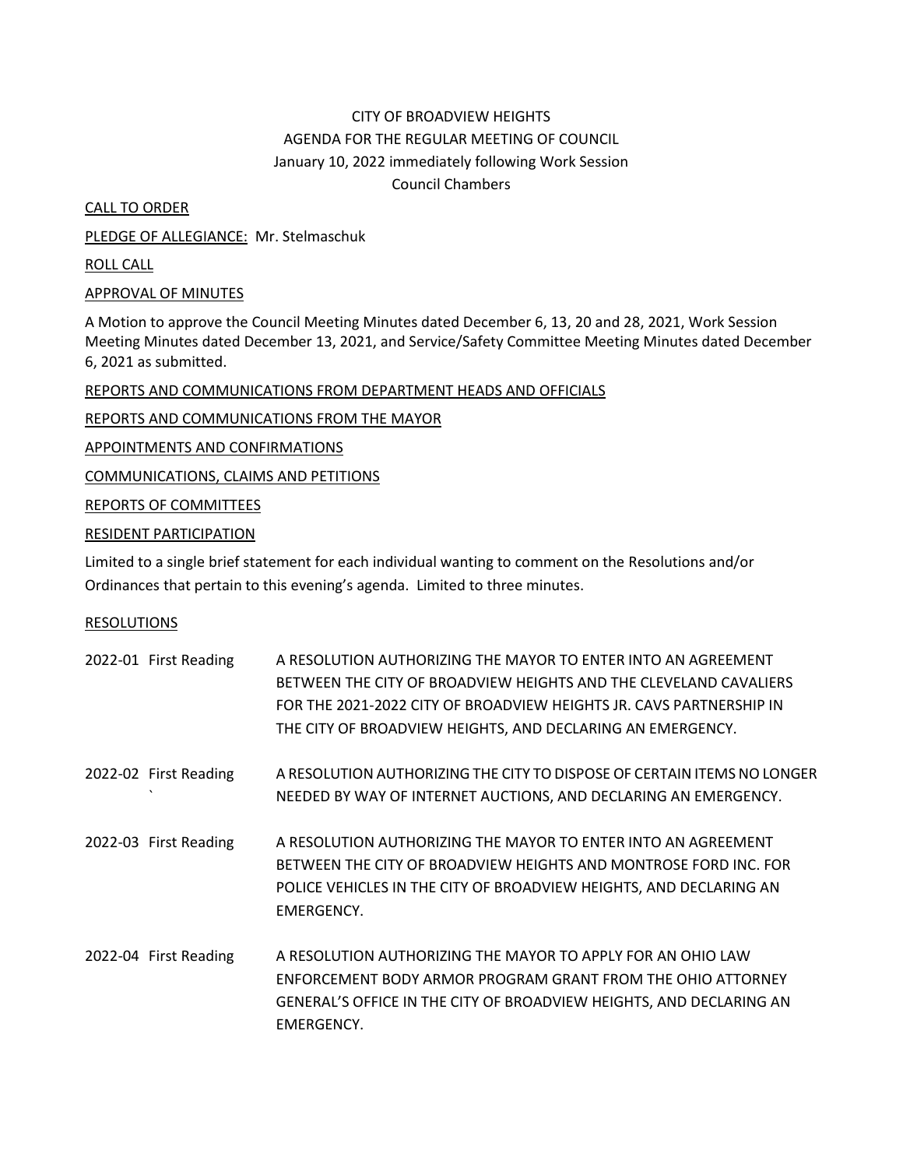## CITY OF BROADVIEW HEIGHTS AGENDA FOR THE REGULAR MEETING OF COUNCIL January 10, 2022 immediately following Work Session Council Chambers

CALL TO ORDER

PLEDGE OF ALLEGIANCE: Mr. Stelmaschuk

ROLL CALL

APPROVAL OF MINUTES

A Motion to approve the Council Meeting Minutes dated December 6, 13, 20 and 28, 2021, Work Session Meeting Minutes dated December 13, 2021, and Service/Safety Committee Meeting Minutes dated December 6, 2021 as submitted.

REPORTS AND COMMUNICATIONS FROM DEPARTMENT HEADS AND OFFICIALS

REPORTS AND COMMUNICATIONS FROM THE MAYOR

APPOINTMENTS AND CONFIRMATIONS

COMMUNICATIONS, CLAIMS AND PETITIONS

REPORTS OF COMMITTEES

RESIDENT PARTICIPATION

Limited to a single brief statement for each individual wanting to comment on the Resolutions and/or Ordinances that pertain to this evening's agenda. Limited to three minutes.

## RESOLUTIONS

| 2022-01 First Reading | A RESOLUTION AUTHORIZING THE MAYOR TO ENTER INTO AN AGREEMENT<br>BETWEEN THE CITY OF BROADVIEW HEIGHTS AND THE CLEVELAND CAVALIERS<br>FOR THE 2021-2022 CITY OF BROADVIEW HEIGHTS JR. CAVS PARTNERSHIP IN<br>THE CITY OF BROADVIEW HEIGHTS, AND DECLARING AN EMERGENCY. |
|-----------------------|-------------------------------------------------------------------------------------------------------------------------------------------------------------------------------------------------------------------------------------------------------------------------|
| 2022-02 First Reading | A RESOLUTION AUTHORIZING THE CITY TO DISPOSE OF CERTAIN ITEMS NO LONGER<br>NEEDED BY WAY OF INTERNET AUCTIONS, AND DECLARING AN EMERGENCY.                                                                                                                              |
| 2022-03 First Reading | A RESOLUTION AUTHORIZING THE MAYOR TO ENTER INTO AN AGREEMENT<br>BETWEEN THE CITY OF BROADVIEW HEIGHTS AND MONTROSE FORD INC. FOR<br>POLICE VEHICLES IN THE CITY OF BROADVIEW HEIGHTS, AND DECLARING AN<br>EMERGENCY.                                                   |
| 2022-04 First Reading | A RESOLUTION AUTHORIZING THE MAYOR TO APPLY FOR AN OHIO LAW<br>ENFORCEMENT BODY ARMOR PROGRAM GRANT FROM THE OHIO ATTORNEY<br>GENERAL'S OFFICE IN THE CITY OF BROADVIEW HEIGHTS, AND DECLARING AN<br>EMERGENCY.                                                         |